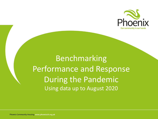

# Benchmarking Performance and Response During the Pandemic Using data up to August 2020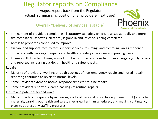# Regulator reports on Compliance

August report back from the Regulator (Graph summarising position of all providers- next page):



### Overall- "Delivery of services is stable".

- The number of providers completing all statutory gas safety checks rose substantially and more fire compliance, asbestos, electrical, legionella and lift checks being completed.
- Access to properties continued to improve.
- On care and support, face-to-face support services resuming, and communal areas reopened.
- Providers with backlogs in repairs and health and safety checks were improving overall
- In areas with local lockdowns, a small number of providers reverted to an emergency-only repairs and reported increasing backlogs in health and safety checks.

### Repairs

- Majority of providers working through backlogs of non-emergency repairs and noted repair reporting continued to revert to normal levels.
- Some Providers extended normal response times for routine repairs
- Some providers reported cleared backlogs of routine repairs

### Future and potential second wave

• Many providers preparing by increasing stocks of personal protective equipment (PPE) and other materials, carrying out health and safety checks earlier than scheduled, and making contingency plans to address any staffing pressures.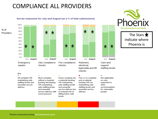## COMPLIANCE ALL PROVIDERS

#### Survey responses for July and August (as a % of total submissions)



100%





The Stars  $\bigstar$ indicate where Phoenix is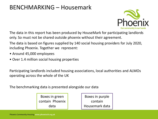### BENCHMARKING – Housemark



The data in this report has been produced by HouseMark for participating landlords only. So must not be shared outside phoenix without their agreement.

The data is based on figures supplied by 140 social housing providers for July 2020, including Phoenix. Together we represent:

- Around 45,000 employees
- Over 1.4 million social housing properties

Participating landlords included housing associations, local authorities and ALMOs operating across the whole of the UK

The benchmarking data is presented alongside our data

Boxes in green contain Phoenix data

Boxes in purple contain Housemark data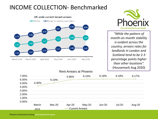### INCOME COLLECTION- Benchmarked





*"While the pattern of month-on-month stability is evident across the country, arrears rates for landlords in London and Scotland tend to be 2-3 percentage points higher than other locations".*  (Housemark Aug 2020)

### Rent Arrears at Phoenix

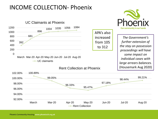## INCOME COLLECTION- Phoenix

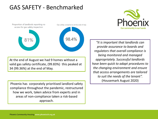## GAS SAFETY - Benchmarked



At the end of August we had 9 homes without a valid gas safety certificate, (99.83%) this peaked at 34 (99.36%) at the end of May.

Phoenix has corporately prioritised landlord safety compliance throughout the pandemic, restructured how we work, taken advice from experts and in areas of non-compliance taken a risk-based approach.



*"It is important that landlords can provide assurance to boards and regulators that overall compliance is being monitored and managed appropriately. Successful landlords have been quick to adapt procedures to the changing environment and ensure that access arrangements are tailored to suit the needs of the tenant".*  (Housemark August 2020)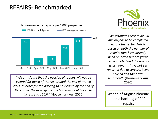### REPAIRS- Benchmarked



*"We anticipate that the backlog of repairs will not be cleared for much of the sector until the end of March 2021. In order for the backlog to be cleared by the end of December, the average completion rate would need to increase to 150%.*" (Housemark Aug 2020) **At end of August Phoenix** 



*"We estimate there to be 2.6 million jobs to be completed across the sector. This is based on both the number of repairs that have already been reported but are yet to be completed and the repairs which tenants have not yet reported due to services being paused and their own sentiment".* (Housemark Aug 2020)

had a back log of 249 repairs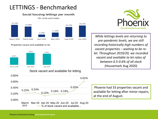# LETTINGS - Benchmarked

#### Social housing lettings per month UK-wide estimates



Properties vacant and available to let



### Stock vacant and available for letting





*While lettings levels are returning to pre-pandemic levels, we are still recording historically high numbers of vacant properties – waiting to be relet. Throughout 2019/20, we recorded vacant and available to let rates of between 0.5-0.6% of all stock*  (Housemark Aug 2020)

Phoenix had 33 properties vacant and available for letting after minor repairs, at the end of August.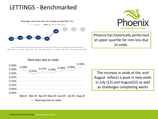## LETTINGS - Benchmarked



Our community in our hands

Phoenix has historically performed at upper quartile for rent loss due to voids.

### Rent loss due to voids



The increase in voids at the end August reflects a peak in new voids in July (12) and August(22) as well as challenges completing works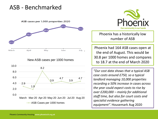### ASB - Benchmarked

ASB cases per 1,000 properties 2020



### New ASB cases per 1000 homes

![](_page_10_Figure_4.jpeg)

![](_page_10_Picture_5.jpeg)

Phoenix has a historically low number of ASB

Phoenix had 164 ASB cases open at the end of August. This would be 30.8 per 1000 homes and compares to 18.7 at the end of March 2020

*"Our cost data shows that a typical ASB case costs around £750, so a typical landlord managing 10,000 properties recording a 50% increase in cases across the year could expect costs to rise by over £200,000 – mainly for additional staff time, but also for court costs and specialist evidence gathering equipment".* Housemark Aug 2020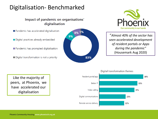# Digitalisation- Benchmarked

### Impact of pandemic on organisations' digitalisation

Pandemic has accelerated digitalisation

Digital practices already embedded

Pandemic has prompted digitalisation

Digital transformation is not a priority

![](_page_11_Figure_6.jpeg)

![](_page_11_Picture_7.jpeg)

"*Almost 40% of the sector has seen accelerated development of resident portals or Apps during the pandemic"* (Housemark Aug 2020)

Like the majority of peers, at Phoenix, we have accelerated our digitalisation

![](_page_11_Figure_10.jpeg)

#### Digital transformation themes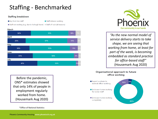# Staffing - Benchmarked

#### **Staffing breakdown**

Key front-line staff

Staff distance working

■ Staff not working (e.g. due to furlough leave) ■ Staff off-sick (all reasons)

#### **March**

![](_page_12_Figure_6.jpeg)

Before the pandemic, ONS\* estimates showed that only 14% of people in employment regularly worked from home. (Housemark Aug 2020)

\*Office of National Statistics

![](_page_12_Picture_9.jpeg)

*"As the new normal model of service delivery starts to take shape, we are seeing that working from home, at least for part of the week, is becoming embedded as standard practice for office-based staff"*  (Housemark Aug 2020)

#### Organisational approach to future office working

Expect a return to 4% 13% normal office working Embrace home working for some staff Embrace home working completely 83%